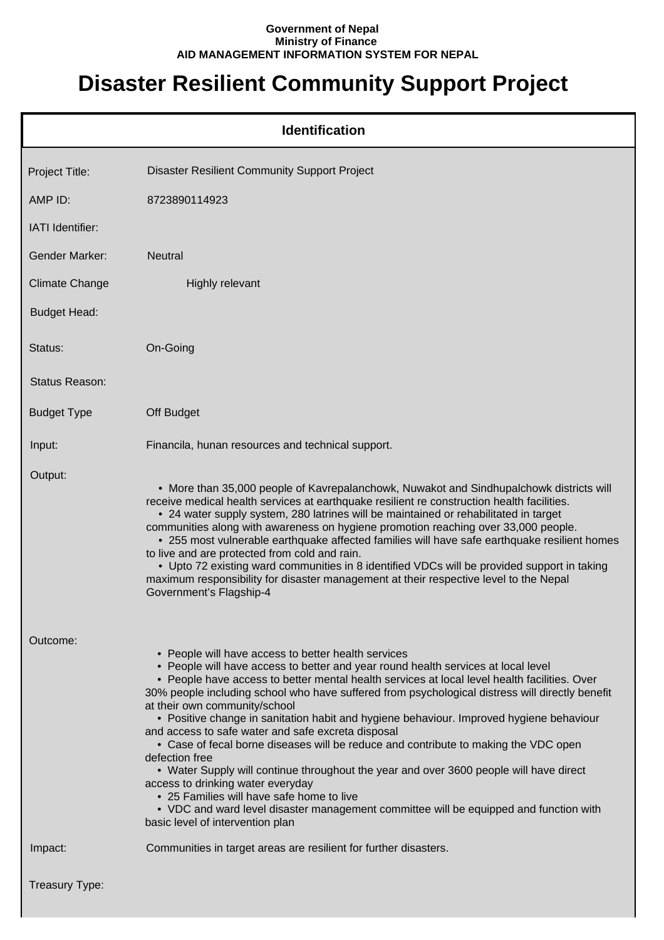## **Government of Nepal Ministry of Finance AID MANAGEMENT INFORMATION SYSTEM FOR NEPAL**

## **Disaster Resilient Community Support Project**

|                         | <b>Identification</b>                                                                                                                                                                                                                                                                                                                                                                                                                                                                                                                                                                                                                                                                                                                                                                                                                                                                                                                           |
|-------------------------|-------------------------------------------------------------------------------------------------------------------------------------------------------------------------------------------------------------------------------------------------------------------------------------------------------------------------------------------------------------------------------------------------------------------------------------------------------------------------------------------------------------------------------------------------------------------------------------------------------------------------------------------------------------------------------------------------------------------------------------------------------------------------------------------------------------------------------------------------------------------------------------------------------------------------------------------------|
| Project Title:          | <b>Disaster Resilient Community Support Project</b>                                                                                                                                                                                                                                                                                                                                                                                                                                                                                                                                                                                                                                                                                                                                                                                                                                                                                             |
| AMP ID:                 | 8723890114923                                                                                                                                                                                                                                                                                                                                                                                                                                                                                                                                                                                                                                                                                                                                                                                                                                                                                                                                   |
| <b>IATI</b> Identifier: |                                                                                                                                                                                                                                                                                                                                                                                                                                                                                                                                                                                                                                                                                                                                                                                                                                                                                                                                                 |
| <b>Gender Marker:</b>   | <b>Neutral</b>                                                                                                                                                                                                                                                                                                                                                                                                                                                                                                                                                                                                                                                                                                                                                                                                                                                                                                                                  |
| <b>Climate Change</b>   | <b>Highly relevant</b>                                                                                                                                                                                                                                                                                                                                                                                                                                                                                                                                                                                                                                                                                                                                                                                                                                                                                                                          |
| <b>Budget Head:</b>     |                                                                                                                                                                                                                                                                                                                                                                                                                                                                                                                                                                                                                                                                                                                                                                                                                                                                                                                                                 |
| Status:                 | On-Going                                                                                                                                                                                                                                                                                                                                                                                                                                                                                                                                                                                                                                                                                                                                                                                                                                                                                                                                        |
| Status Reason:          |                                                                                                                                                                                                                                                                                                                                                                                                                                                                                                                                                                                                                                                                                                                                                                                                                                                                                                                                                 |
| <b>Budget Type</b>      | Off Budget                                                                                                                                                                                                                                                                                                                                                                                                                                                                                                                                                                                                                                                                                                                                                                                                                                                                                                                                      |
| Input:                  | Financila, hunan resources and technical support.                                                                                                                                                                                                                                                                                                                                                                                                                                                                                                                                                                                                                                                                                                                                                                                                                                                                                               |
| Output:                 | • More than 35,000 people of Kavrepalanchowk, Nuwakot and Sindhupalchowk districts will<br>receive medical health services at earthquake resilient re construction health facilities.<br>• 24 water supply system, 280 latrines will be maintained or rehabilitated in target<br>communities along with awareness on hygiene promotion reaching over 33,000 people.<br>• 255 most vulnerable earthquake affected families will have safe earthquake resilient homes<br>to live and are protected from cold and rain.<br>• Upto 72 existing ward communities in 8 identified VDCs will be provided support in taking<br>maximum responsibility for disaster management at their respective level to the Nepal<br>Government's Flagship-4                                                                                                                                                                                                         |
| Outcome:                | • People will have access to better health services<br>• People will have access to better and year round health services at local level<br>• People have access to better mental health services at local level health facilities. Over<br>30% people including school who have suffered from psychological distress will directly benefit<br>at their own community/school<br>• Positive change in sanitation habit and hygiene behaviour. Improved hygiene behaviour<br>and access to safe water and safe excreta disposal<br>• Case of fecal borne diseases will be reduce and contribute to making the VDC open<br>defection free<br>• Water Supply will continue throughout the year and over 3600 people will have direct<br>access to drinking water everyday<br>• 25 Families will have safe home to live<br>• VDC and ward level disaster management committee will be equipped and function with<br>basic level of intervention plan |
| Impact:                 | Communities in target areas are resilient for further disasters.                                                                                                                                                                                                                                                                                                                                                                                                                                                                                                                                                                                                                                                                                                                                                                                                                                                                                |
| Treasury Type:          |                                                                                                                                                                                                                                                                                                                                                                                                                                                                                                                                                                                                                                                                                                                                                                                                                                                                                                                                                 |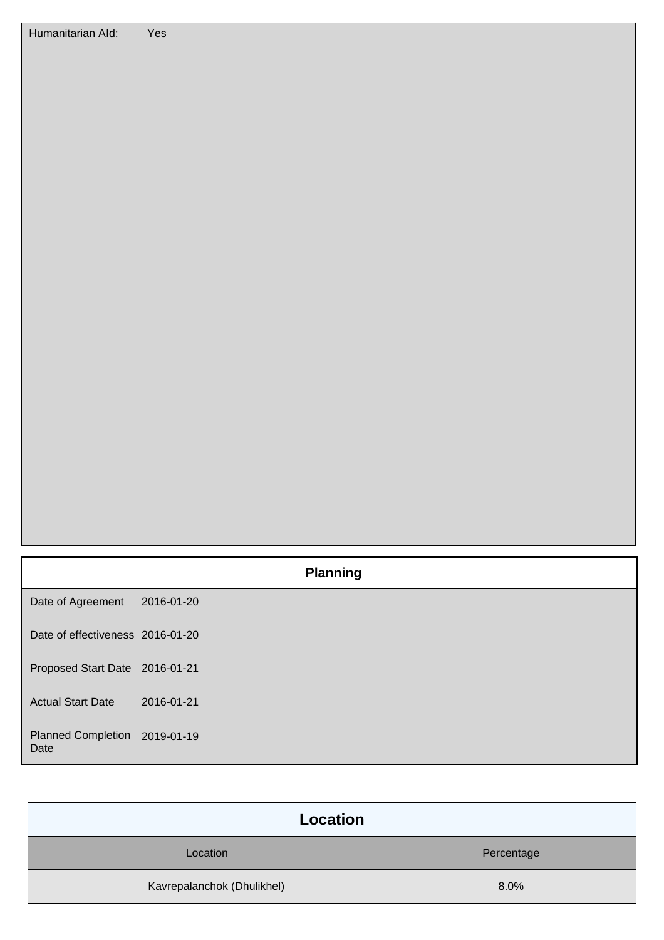| Humanitarian Ald: | Yes |
|-------------------|-----|
|                   |     |

|                                   |            | <b>Planning</b> |
|-----------------------------------|------------|-----------------|
| Date of Agreement                 | 2016-01-20 |                 |
| Date of effectiveness 2016-01-20  |            |                 |
| Proposed Start Date 2016-01-21    |            |                 |
| <b>Actual Start Date</b>          | 2016-01-21 |                 |
| <b>Planned Completion</b><br>Date | 2019-01-19 |                 |

| Location                   |            |
|----------------------------|------------|
| Location                   | Percentage |
| Kavrepalanchok (Dhulikhel) | 8.0%       |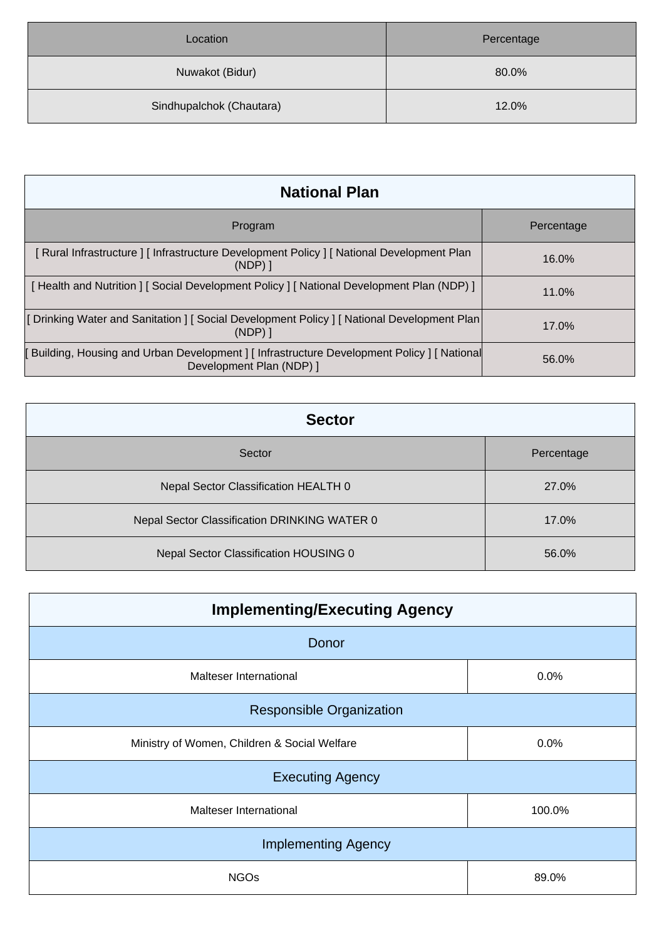| Location                 | Percentage |
|--------------------------|------------|
| Nuwakot (Bidur)          | 80.0%      |
| Sindhupalchok (Chautara) | 12.0%      |

| <b>National Plan</b>                                                                                                     |            |  |
|--------------------------------------------------------------------------------------------------------------------------|------------|--|
| Program                                                                                                                  | Percentage |  |
| Rural Infrastructure   [ Infrastructure Development Policy   [ National Development Plan<br>$(NDP)$ ]                    | $16.0\%$   |  |
| Health and Nutrition ] [ Social Development Policy ] [ National Development Plan (NDP) ]                                 | 11.0%      |  |
| [ Drinking Water and Sanitation ] [ Social Development Policy ] [ National Development Plan<br>$(NDP)$ ]                 | 17.0%      |  |
| [ Building, Housing and Urban Development ] [ Infrastructure Development Policy ] [ National<br>Development Plan (NDP) 1 | 56.0%      |  |

| <b>Sector</b>                                |            |  |
|----------------------------------------------|------------|--|
| Sector                                       | Percentage |  |
| Nepal Sector Classification HEALTH 0         | 27.0%      |  |
| Nepal Sector Classification DRINKING WATER 0 | 17.0%      |  |
| Nepal Sector Classification HOUSING 0        | 56.0%      |  |

| <b>Implementing/Executing Agency</b>         |        |  |
|----------------------------------------------|--------|--|
| Donor                                        |        |  |
| Malteser International                       | 0.0%   |  |
| <b>Responsible Organization</b>              |        |  |
| Ministry of Women, Children & Social Welfare | 0.0%   |  |
| <b>Executing Agency</b>                      |        |  |
| Malteser International                       | 100.0% |  |
| <b>Implementing Agency</b>                   |        |  |
| <b>NGOs</b>                                  | 89.0%  |  |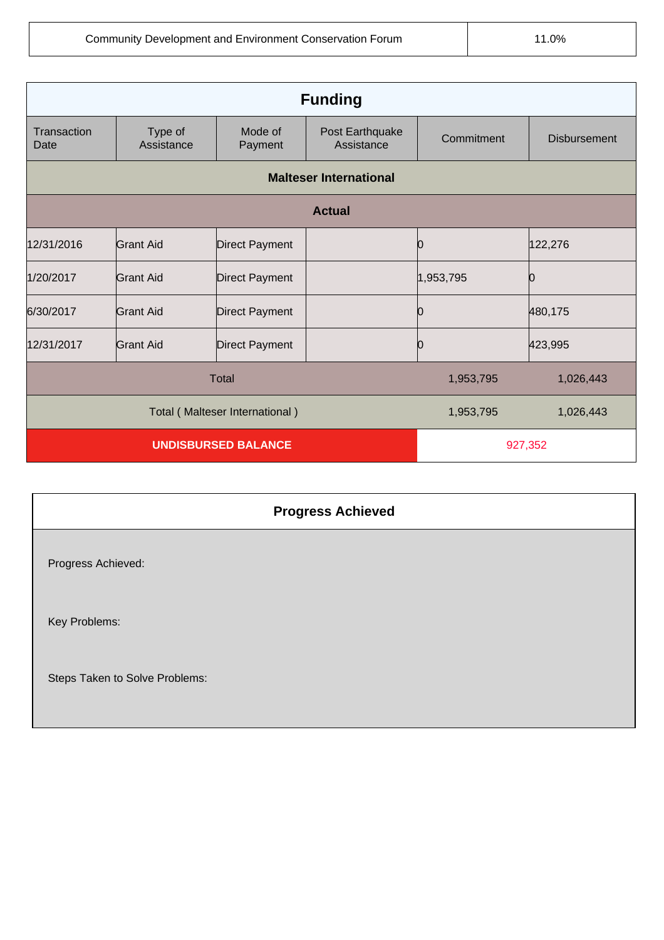| <b>Funding</b>                 |                       |                       |                               |            |                     |
|--------------------------------|-----------------------|-----------------------|-------------------------------|------------|---------------------|
| Transaction<br>Date            | Type of<br>Assistance | Mode of<br>Payment    | Post Earthquake<br>Assistance | Commitment | <b>Disbursement</b> |
| <b>Malteser International</b>  |                       |                       |                               |            |                     |
|                                | <b>Actual</b>         |                       |                               |            |                     |
| 12/31/2016                     | <b>Grant Aid</b>      | <b>Direct Payment</b> |                               |            | 122,276             |
| 1/20/2017                      | <b>Grant Aid</b>      | <b>Direct Payment</b> |                               | 1,953,795  | n                   |
| 6/30/2017                      | <b>Grant Aid</b>      | <b>Direct Payment</b> |                               |            | 480,175             |
| 12/31/2017                     | <b>Grant Aid</b>      | <b>Direct Payment</b> |                               | Ю          | 423,995             |
| <b>Total</b>                   |                       |                       | 1,953,795                     | 1,026,443  |                     |
| Total (Malteser International) |                       |                       | 1,953,795                     | 1,026,443  |                     |
| <b>UNDISBURSED BALANCE</b>     |                       |                       | 927,352                       |            |                     |

|                                | <b>Progress Achieved</b> |
|--------------------------------|--------------------------|
| Progress Achieved:             |                          |
| Key Problems:                  |                          |
| Steps Taken to Solve Problems: |                          |